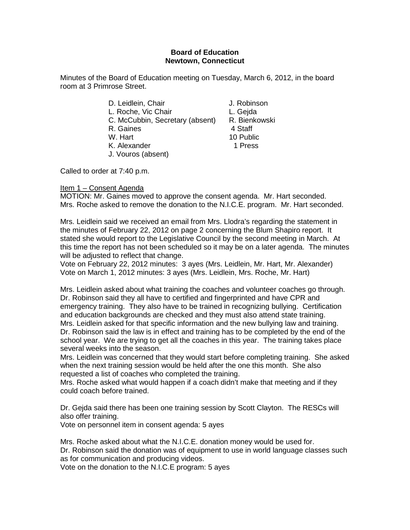## **Board of Education Newtown, Connecticut**

Minutes of the Board of Education meeting on Tuesday, March 6, 2012, in the board room at 3 Primrose Street.

| D. Leidlein, Chair              | J. Robinson   |
|---------------------------------|---------------|
| L. Roche, Vic Chair             | L. Gejda      |
| C. McCubbin, Secretary (absent) | R. Bienkowski |
| R. Gaines                       | 4 Staff       |
| W. Hart                         | 10 Public     |
| K. Alexander                    | 1 Press       |
| J. Vouros (absent)              |               |

Called to order at 7:40 p.m.

## Item 1 – Consent Agenda

MOTION: Mr. Gaines moved to approve the consent agenda. Mr. Hart seconded. Mrs. Roche asked to remove the donation to the N.I.C.E. program. Mr. Hart seconded.

Mrs. Leidlein said we received an email from Mrs. Llodra's regarding the statement in the minutes of February 22, 2012 on page 2 concerning the Blum Shapiro report. It stated she would report to the Legislative Council by the second meeting in March. At this time the report has not been scheduled so it may be on a later agenda. The minutes will be adjusted to reflect that change.

Vote on February 22, 2012 minutes: 3 ayes (Mrs. Leidlein, Mr. Hart, Mr. Alexander) Vote on March 1, 2012 minutes: 3 ayes (Mrs. Leidlein, Mrs. Roche, Mr. Hart)

Mrs. Leidlein asked about what training the coaches and volunteer coaches go through. Dr. Robinson said they all have to certified and fingerprinted and have CPR and emergency training. They also have to be trained in recognizing bullying. Certification and education backgrounds are checked and they must also attend state training. Mrs. Leidlein asked for that specific information and the new bullying law and training. Dr. Robinson said the law is in effect and training has to be completed by the end of the school year. We are trying to get all the coaches in this year. The training takes place several weeks into the season.

Mrs. Leidlein was concerned that they would start before completing training. She asked when the next training session would be held after the one this month. She also requested a list of coaches who completed the training.

Mrs. Roche asked what would happen if a coach didn't make that meeting and if they could coach before trained.

Dr. Gejda said there has been one training session by Scott Clayton. The RESCs will also offer training.

Vote on personnel item in consent agenda: 5 ayes

Mrs. Roche asked about what the N.I.C.E. donation money would be used for. Dr. Robinson said the donation was of equipment to use in world language classes such as for communication and producing videos.

Vote on the donation to the N.I.C.E program: 5 ayes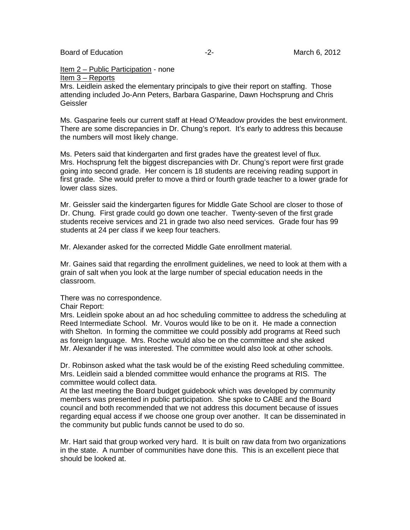Board of Education  $\overline{c}$  -2- The matrix March 6, 2012

## Item 2 – Public Participation - none

Item 3 – Reports

Mrs. Leidlein asked the elementary principals to give their report on staffing. Those attending included Jo-Ann Peters, Barbara Gasparine, Dawn Hochsprung and Chris Geissler

Ms. Gasparine feels our current staff at Head O'Meadow provides the best environment. There are some discrepancies in Dr. Chung's report. It's early to address this because the numbers will most likely change.

Ms. Peters said that kindergarten and first grades have the greatest level of flux. Mrs. Hochsprung felt the biggest discrepancies with Dr. Chung's report were first grade going into second grade. Her concern is 18 students are receiving reading support in first grade. She would prefer to move a third or fourth grade teacher to a lower grade for lower class sizes.

Mr. Geissler said the kindergarten figures for Middle Gate School are closer to those of Dr. Chung. First grade could go down one teacher. Twenty-seven of the first grade students receive services and 21 in grade two also need services. Grade four has 99 students at 24 per class if we keep four teachers.

Mr. Alexander asked for the corrected Middle Gate enrollment material.

Mr. Gaines said that regarding the enrollment guidelines, we need to look at them with a grain of salt when you look at the large number of special education needs in the classroom.

There was no correspondence.

Chair Report:

Mrs. Leidlein spoke about an ad hoc scheduling committee to address the scheduling at Reed Intermediate School. Mr. Vouros would like to be on it. He made a connection with Shelton. In forming the committee we could possibly add programs at Reed such as foreign language. Mrs. Roche would also be on the committee and she asked Mr. Alexander if he was interested. The committee would also look at other schools.

Dr. Robinson asked what the task would be of the existing Reed scheduling committee. Mrs. Leidlein said a blended committee would enhance the programs at RIS. The committee would collect data.

At the last meeting the Board budget guidebook which was developed by community members was presented in public participation. She spoke to CABE and the Board council and both recommended that we not address this document because of issues regarding equal access if we choose one group over another. It can be disseminated in the community but public funds cannot be used to do so.

Mr. Hart said that group worked very hard. It is built on raw data from two organizations in the state. A number of communities have done this. This is an excellent piece that should be looked at.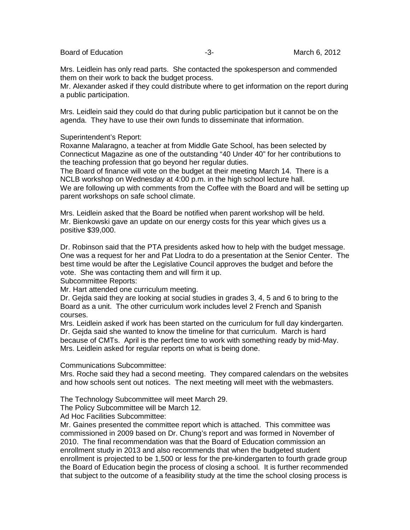Board of Education  $-3$ -  $-3$ - March 6, 2012

Mrs. Leidlein has only read parts. She contacted the spokesperson and commended them on their work to back the budget process.

Mr. Alexander asked if they could distribute where to get information on the report during a public participation.

Mrs. Leidlein said they could do that during public participation but it cannot be on the agenda. They have to use their own funds to disseminate that information.

Superintendent's Report:

Roxanne Malaragno, a teacher at from Middle Gate School, has been selected by Connecticut Magazine as one of the outstanding "40 Under 40" for her contributions to the teaching profession that go beyond her regular duties.

The Board of finance will vote on the budget at their meeting March 14. There is a NCLB workshop on Wednesday at 4:00 p.m. in the high school lecture hall. We are following up with comments from the Coffee with the Board and will be setting up parent workshops on safe school climate.

Mrs. Leidlein asked that the Board be notified when parent workshop will be held. Mr. Bienkowski gave an update on our energy costs for this year which gives us a positive \$39,000.

Dr. Robinson said that the PTA presidents asked how to help with the budget message. One was a request for her and Pat Llodra to do a presentation at the Senior Center. The best time would be after the Legislative Council approves the budget and before the vote. She was contacting them and will firm it up.

Subcommittee Reports:

Mr. Hart attended one curriculum meeting.

Dr. Gejda said they are looking at social studies in grades 3, 4, 5 and 6 to bring to the Board as a unit. The other curriculum work includes level 2 French and Spanish courses.

Mrs. Leidlein asked if work has been started on the curriculum for full day kindergarten. Dr. Gejda said she wanted to know the timeline for that curriculum. March is hard because of CMTs. April is the perfect time to work with something ready by mid-May. Mrs. Leidlein asked for regular reports on what is being done.

Communications Subcommittee:

Mrs. Roche said they had a second meeting. They compared calendars on the websites and how schools sent out notices. The next meeting will meet with the webmasters.

The Technology Subcommittee will meet March 29.

The Policy Subcommittee will be March 12.

Ad Hoc Facilities Subcommittee:

Mr. Gaines presented the committee report which is attached. This committee was commissioned in 2009 based on Dr. Chung's report and was formed in November of 2010. The final recommendation was that the Board of Education commission an enrollment study in 2013 and also recommends that when the budgeted student enrollment is projected to be 1,500 or less for the pre-kindergarten to fourth grade group the Board of Education begin the process of closing a school. It is further recommended that subject to the outcome of a feasibility study at the time the school closing process is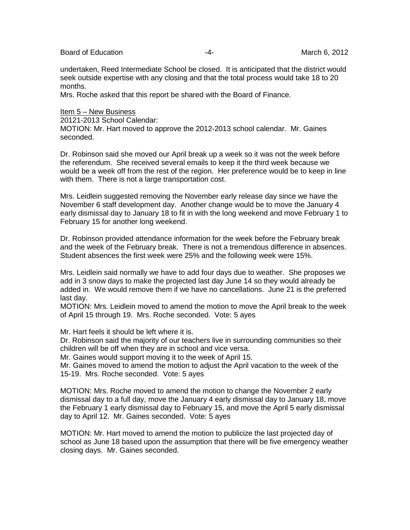Board of Education  $\overline{a}$  -4- Figure 2012

undertaken, Reed Intermediate School be closed. It is anticipated that the district would seek outside expertise with any closing and that the total process would take 18 to 20 months.

Mrs. Roche asked that this report be shared with the Board of Finance.

## Item 5 – New Business

20121-2013 School Calendar:

MOTION: Mr. Hart moved to approve the 2012-2013 school calendar. Mr. Gaines seconded.

Dr. Robinson said she moved our April break up a week so it was not the week before the referendum. She received several emails to keep it the third week because we would be a week off from the rest of the region. Her preference would be to keep in line with them. There is not a large transportation cost.

Mrs. Leidlein suggested removing the November early release day since we have the November 6 staff development day. Another change would be to move the January 4 early dismissal day to January 18 to fit in with the long weekend and move February 1 to February 15 for another long weekend.

Dr. Robinson provided attendance information for the week before the February break and the week of the February break. There is not a tremendous difference in absences. Student absences the first week were 25% and the following week were 15%.

Mrs. Leidlein said normally we have to add four days due to weather. She proposes we add in 3 snow days to make the projected last day June 14 so they would already be added in. We would remove them if we have no cancellations. June 21 is the preferred last day.

MOTION: Mrs. Leidlein moved to amend the motion to move the April break to the week of April 15 through 19. Mrs. Roche seconded. Vote: 5 ayes

Mr. Hart feels it should be left where it is.

Dr. Robinson said the majority of our teachers live in surrounding communities so their children will be off when they are in school and vice versa.

Mr. Gaines would support moving it to the week of April 15.

Mr. Gaines moved to amend the motion to adjust the April vacation to the week of the 15-19. Mrs. Roche seconded. Vote: 5 ayes

MOTION: Mrs. Roche moved to amend the motion to change the November 2 early dismissal day to a full day, move the January 4 early dismissal day to January 18, move the February 1 early dismissal day to February 15, and move the April 5 early dismissal day to April 12. Mr. Gaines seconded. Vote: 5 ayes

MOTION: Mr. Hart moved to amend the motion to publicize the last projected day of school as June 18 based upon the assumption that there will be five emergency weather closing days. Mr. Gaines seconded.